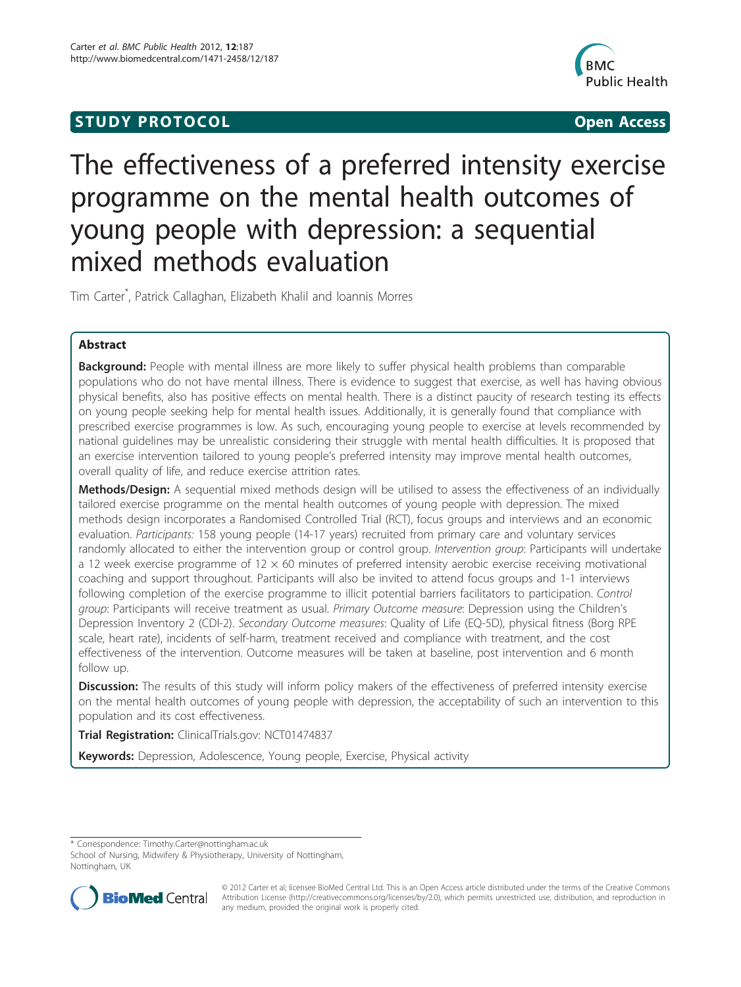# **STUDY PROTOCOL** And the state of the state of the state of the state of the state of the state of the state of the state of the state of the state of the state of the state of the state of the state of the state of the st



# The effectiveness of a preferred intensity exercise programme on the mental health outcomes of young people with depression: a sequential mixed methods evaluation

Tim Carter\* , Patrick Callaghan, Elizabeth Khalil and Ioannis Morres

# Abstract

**Background:** People with mental illness are more likely to suffer physical health problems than comparable populations who do not have mental illness. There is evidence to suggest that exercise, as well has having obvious physical benefits, also has positive effects on mental health. There is a distinct paucity of research testing its effects on young people seeking help for mental health issues. Additionally, it is generally found that compliance with prescribed exercise programmes is low. As such, encouraging young people to exercise at levels recommended by national guidelines may be unrealistic considering their struggle with mental health difficulties. It is proposed that an exercise intervention tailored to young people's preferred intensity may improve mental health outcomes, overall quality of life, and reduce exercise attrition rates.

Methods/Design: A sequential mixed methods design will be utilised to assess the effectiveness of an individually tailored exercise programme on the mental health outcomes of young people with depression. The mixed methods design incorporates a Randomised Controlled Trial (RCT), focus groups and interviews and an economic evaluation. Participants: 158 young people (14-17 years) recruited from primary care and voluntary services randomly allocated to either the intervention group or control group. Intervention group: Participants will undertake a 12 week exercise programme of 12 × 60 minutes of preferred intensity aerobic exercise receiving motivational coaching and support throughout. Participants will also be invited to attend focus groups and 1-1 interviews following completion of the exercise programme to illicit potential barriers facilitators to participation. Control group: Participants will receive treatment as usual. Primary Outcome measure: Depression using the Children's Depression Inventory 2 (CDI-2). Secondary Outcome measures: Quality of Life (EQ-5D), physical fitness (Borg RPE scale, heart rate), incidents of self-harm, treatment received and compliance with treatment, and the cost effectiveness of the intervention. Outcome measures will be taken at baseline, post intervention and 6 month follow up.

Discussion: The results of this study will inform policy makers of the effectiveness of preferred intensity exercise on the mental health outcomes of young people with depression, the acceptability of such an intervention to this population and its cost effectiveness.

Trial Registration: ClinicalTrials.gov: [NCT01474837](http://www.clinicaltrials.gov/ct2/show/NCT01474837)

Keywords: Depression, Adolescence, Young people, Exercise, Physical activity

\* Correspondence: [Timothy.Carter@nottingham.ac.uk](mailto:Timothy.Carter@nottingham.ac.uk)

School of Nursing, Midwifery & Physiotherapy, University of Nottingham, Nottingham, UK



© 2012 Carter et al; licensee BioMed Central Ltd. This is an Open Access article distributed under the terms of the Creative Commons Attribution License [\(http://creativecommons.org/licenses/by/2.0](http://creativecommons.org/licenses/by/2.0)), which permits unrestricted use, distribution, and reproduction in any medium, provided the original work is properly cited.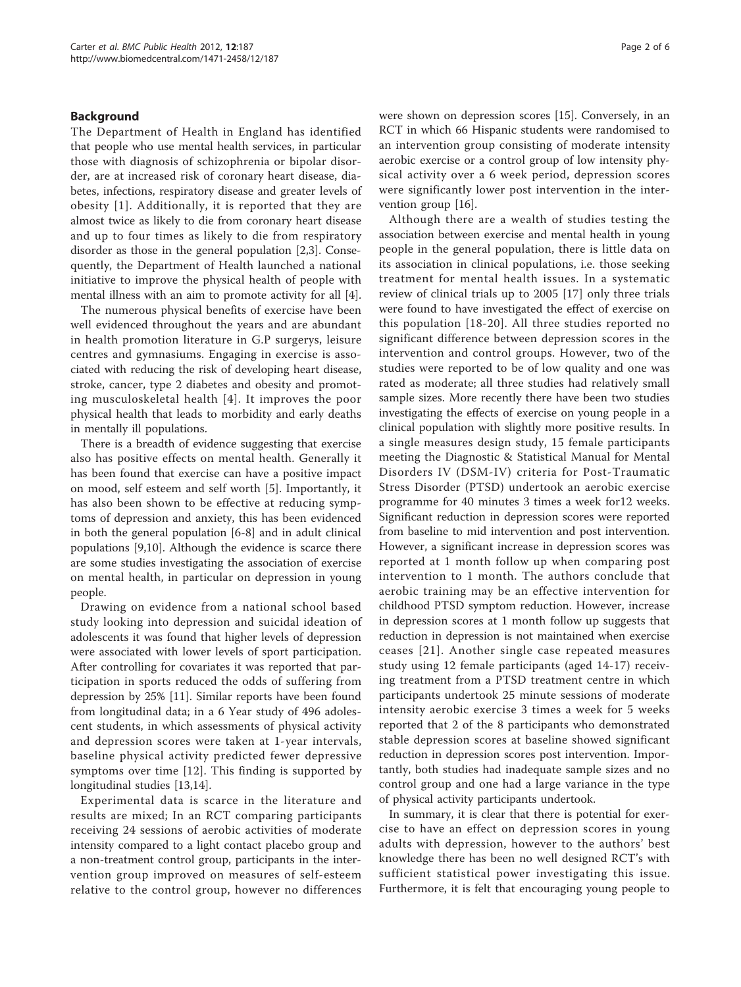# Background

The Department of Health in England has identified that people who use mental health services, in particular those with diagnosis of schizophrenia or bipolar disorder, are at increased risk of coronary heart disease, diabetes, infections, respiratory disease and greater levels of obesity [[1](#page-4-0)]. Additionally, it is reported that they are almost twice as likely to die from coronary heart disease and up to four times as likely to die from respiratory disorder as those in the general population [\[2,3\]](#page-4-0). Consequently, the Department of Health launched a national initiative to improve the physical health of people with mental illness with an aim to promote activity for all [\[4](#page-4-0)].

The numerous physical benefits of exercise have been well evidenced throughout the years and are abundant in health promotion literature in G.P surgerys, leisure centres and gymnasiums. Engaging in exercise is associated with reducing the risk of developing heart disease, stroke, cancer, type 2 diabetes and obesity and promoting musculoskeletal health [[4\]](#page-4-0). It improves the poor physical health that leads to morbidity and early deaths in mentally ill populations.

There is a breadth of evidence suggesting that exercise also has positive effects on mental health. Generally it has been found that exercise can have a positive impact on mood, self esteem and self worth [\[5](#page-4-0)]. Importantly, it has also been shown to be effective at reducing symptoms of depression and anxiety, this has been evidenced in both the general population [[6-8](#page-4-0)] and in adult clinical populations [[9,10\]](#page-4-0). Although the evidence is scarce there are some studies investigating the association of exercise on mental health, in particular on depression in young people.

Drawing on evidence from a national school based study looking into depression and suicidal ideation of adolescents it was found that higher levels of depression were associated with lower levels of sport participation. After controlling for covariates it was reported that participation in sports reduced the odds of suffering from depression by 25% [\[11](#page-4-0)]. Similar reports have been found from longitudinal data; in a 6 Year study of 496 adolescent students, in which assessments of physical activity and depression scores were taken at 1-year intervals, baseline physical activity predicted fewer depressive symptoms over time [\[12](#page-4-0)]. This finding is supported by longitudinal studies [\[13,14\]](#page-4-0).

Experimental data is scarce in the literature and results are mixed; In an RCT comparing participants receiving 24 sessions of aerobic activities of moderate intensity compared to a light contact placebo group and a non-treatment control group, participants in the intervention group improved on measures of self-esteem relative to the control group, however no differences were shown on depression scores [\[15\]](#page-4-0). Conversely, in an RCT in which 66 Hispanic students were randomised to an intervention group consisting of moderate intensity aerobic exercise or a control group of low intensity physical activity over a 6 week period, depression scores were significantly lower post intervention in the intervention group [[16](#page-4-0)].

Although there are a wealth of studies testing the association between exercise and mental health in young people in the general population, there is little data on its association in clinical populations, i.e. those seeking treatment for mental health issues. In a systematic review of clinical trials up to 2005 [[17\]](#page-4-0) only three trials were found to have investigated the effect of exercise on this population [[18](#page-4-0)-[20](#page-4-0)]. All three studies reported no significant difference between depression scores in the intervention and control groups. However, two of the studies were reported to be of low quality and one was rated as moderate; all three studies had relatively small sample sizes. More recently there have been two studies investigating the effects of exercise on young people in a clinical population with slightly more positive results. In a single measures design study, 15 female participants meeting the Diagnostic & Statistical Manual for Mental Disorders IV (DSM-IV) criteria for Post-Traumatic Stress Disorder (PTSD) undertook an aerobic exercise programme for 40 minutes 3 times a week for12 weeks. Significant reduction in depression scores were reported from baseline to mid intervention and post intervention. However, a significant increase in depression scores was reported at 1 month follow up when comparing post intervention to 1 month. The authors conclude that aerobic training may be an effective intervention for childhood PTSD symptom reduction. However, increase in depression scores at 1 month follow up suggests that reduction in depression is not maintained when exercise ceases [[21\]](#page-4-0). Another single case repeated measures study using 12 female participants (aged 14-17) receiving treatment from a PTSD treatment centre in which participants undertook 25 minute sessions of moderate intensity aerobic exercise 3 times a week for 5 weeks reported that 2 of the 8 participants who demonstrated stable depression scores at baseline showed significant reduction in depression scores post intervention. Importantly, both studies had inadequate sample sizes and no control group and one had a large variance in the type of physical activity participants undertook.

In summary, it is clear that there is potential for exercise to have an effect on depression scores in young adults with depression, however to the authors' best knowledge there has been no well designed RCT's with sufficient statistical power investigating this issue. Furthermore, it is felt that encouraging young people to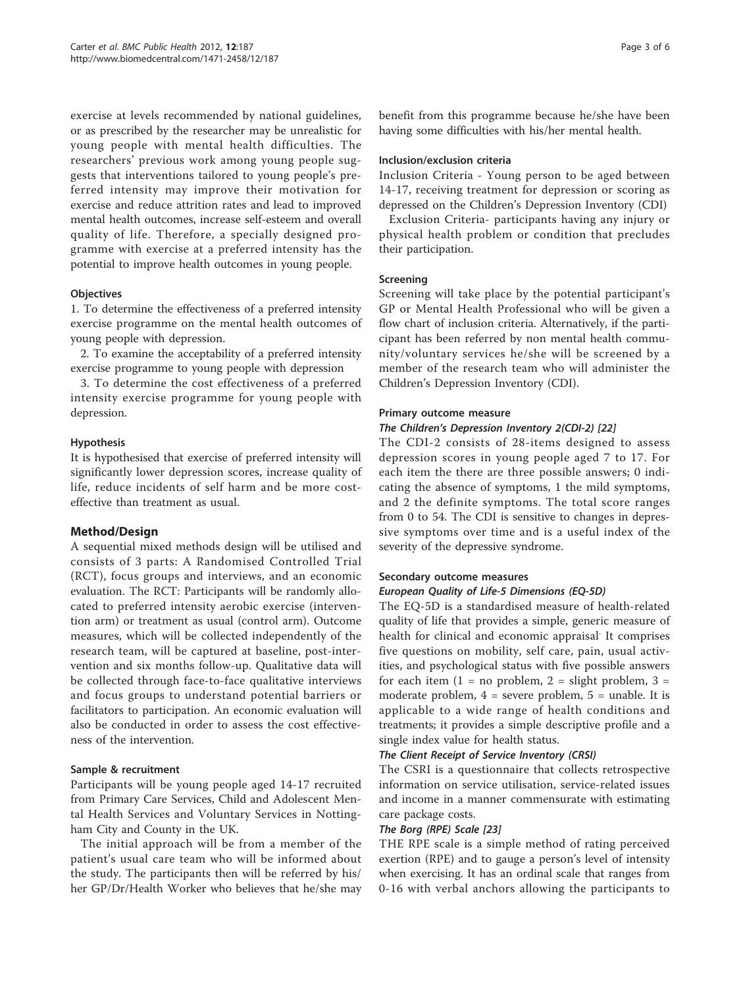exercise at levels recommended by national guidelines, or as prescribed by the researcher may be unrealistic for young people with mental health difficulties. The researchers' previous work among young people suggests that interventions tailored to young people's preferred intensity may improve their motivation for exercise and reduce attrition rates and lead to improved mental health outcomes, increase self-esteem and overall quality of life. Therefore, a specially designed programme with exercise at a preferred intensity has the potential to improve health outcomes in young people.

# **Objectives**

1. To determine the effectiveness of a preferred intensity exercise programme on the mental health outcomes of young people with depression.

2. To examine the acceptability of a preferred intensity exercise programme to young people with depression

3. To determine the cost effectiveness of a preferred intensity exercise programme for young people with depression.

# Hypothesis

It is hypothesised that exercise of preferred intensity will significantly lower depression scores, increase quality of life, reduce incidents of self harm and be more costeffective than treatment as usual.

# Method/Design

A sequential mixed methods design will be utilised and consists of 3 parts: A Randomised Controlled Trial (RCT), focus groups and interviews, and an economic evaluation. The RCT: Participants will be randomly allocated to preferred intensity aerobic exercise (intervention arm) or treatment as usual (control arm). Outcome measures, which will be collected independently of the research team, will be captured at baseline, post-intervention and six months follow-up. Qualitative data will be collected through face-to-face qualitative interviews and focus groups to understand potential barriers or facilitators to participation. An economic evaluation will also be conducted in order to assess the cost effectiveness of the intervention.

#### Sample & recruitment

Participants will be young people aged 14-17 recruited from Primary Care Services, Child and Adolescent Mental Health Services and Voluntary Services in Nottingham City and County in the UK.

The initial approach will be from a member of the patient's usual care team who will be informed about the study. The participants then will be referred by his/ her GP/Dr/Health Worker who believes that he/she may benefit from this programme because he/she have been having some difficulties with his/her mental health.

#### Inclusion/exclusion criteria

Inclusion Criteria - Young person to be aged between 14-17, receiving treatment for depression or scoring as depressed on the Children's Depression Inventory (CDI)

Exclusion Criteria- participants having any injury or physical health problem or condition that precludes their participation.

#### Screening

Screening will take place by the potential participant's GP or Mental Health Professional who will be given a flow chart of inclusion criteria. Alternatively, if the participant has been referred by non mental health community/voluntary services he/she will be screened by a member of the research team who will administer the Children's Depression Inventory (CDI).

# Primary outcome measure

#### The Children's Depression Inventory 2(CDI-2) [\[22\]](#page-5-0)

The CDI-2 consists of 28-items designed to assess depression scores in young people aged 7 to 17. For each item the there are three possible answers; 0 indicating the absence of symptoms, 1 the mild symptoms, and 2 the definite symptoms. The total score ranges from 0 to 54. The CDI is sensitive to changes in depressive symptoms over time and is a useful index of the severity of the depressive syndrome.

# Secondary outcome measures

#### European Quality of Life-5 Dimensions (EQ-5D)

The EQ-5D is a standardised measure of health-related quality of life that provides a simple, generic measure of health for clinical and economic appraisal. It comprises five questions on mobility, self care, pain, usual activities, and psychological status with five possible answers for each item  $(1 = no problem, 2 = slight problem, 3 =$ moderate problem,  $4 =$  severe problem,  $5 =$  unable. It is applicable to a wide range of health conditions and treatments; it provides a simple descriptive profile and a single index value for health status.

#### The Client Receipt of Service Inventory (CRSI)

The CSRI is a questionnaire that collects retrospective information on service utilisation, service-related issues and income in a manner commensurate with estimating care package costs.

#### The Borg (RPE) Scale [\[23](#page-5-0)]

THE RPE scale is a simple method of rating perceived exertion (RPE) and to gauge a person's level of intensity when exercising. It has an ordinal scale that ranges from 0-16 with verbal anchors allowing the participants to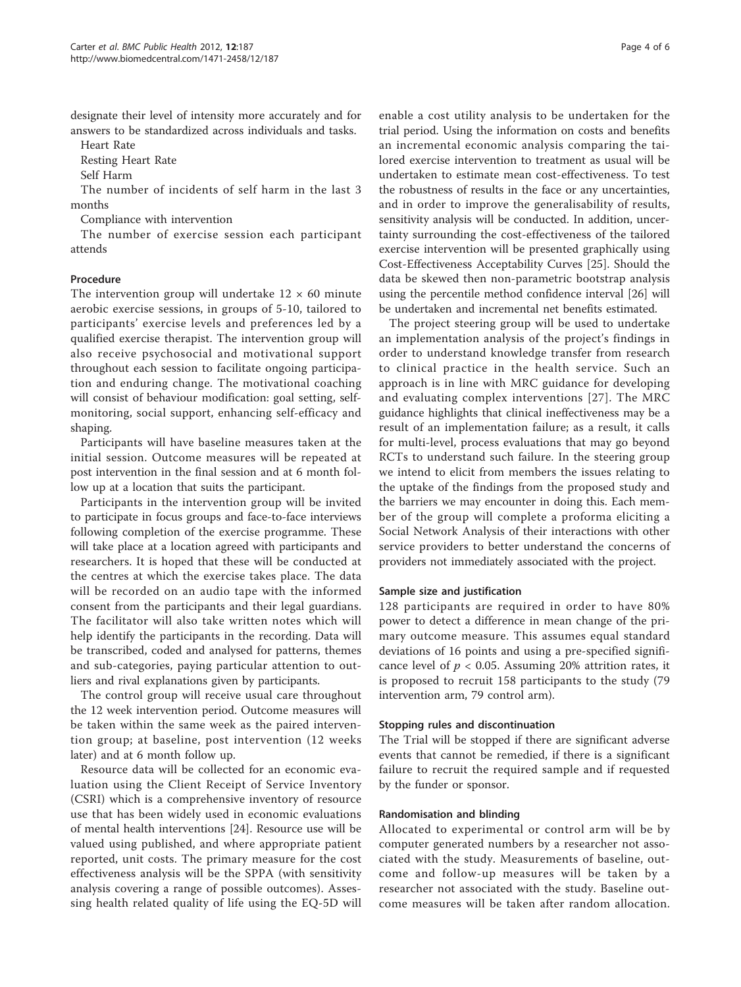designate their level of intensity more accurately and for answers to be standardized across individuals and tasks.

Heart Rate

Resting Heart Rate

Self Harm

The number of incidents of self harm in the last 3 months

Compliance with intervention

The number of exercise session each participant attends

## Procedure

The intervention group will undertake  $12 \times 60$  minute aerobic exercise sessions, in groups of 5-10, tailored to participants' exercise levels and preferences led by a qualified exercise therapist. The intervention group will also receive psychosocial and motivational support throughout each session to facilitate ongoing participation and enduring change. The motivational coaching will consist of behaviour modification: goal setting, selfmonitoring, social support, enhancing self-efficacy and shaping.

Participants will have baseline measures taken at the initial session. Outcome measures will be repeated at post intervention in the final session and at 6 month follow up at a location that suits the participant.

Participants in the intervention group will be invited to participate in focus groups and face-to-face interviews following completion of the exercise programme. These will take place at a location agreed with participants and researchers. It is hoped that these will be conducted at the centres at which the exercise takes place. The data will be recorded on an audio tape with the informed consent from the participants and their legal guardians. The facilitator will also take written notes which will help identify the participants in the recording. Data will be transcribed, coded and analysed for patterns, themes and sub-categories, paying particular attention to outliers and rival explanations given by participants.

The control group will receive usual care throughout the 12 week intervention period. Outcome measures will be taken within the same week as the paired intervention group; at baseline, post intervention (12 weeks later) and at 6 month follow up.

Resource data will be collected for an economic evaluation using the Client Receipt of Service Inventory (CSRI) which is a comprehensive inventory of resource use that has been widely used in economic evaluations of mental health interventions [[24\]](#page-5-0). Resource use will be valued using published, and where appropriate patient reported, unit costs. The primary measure for the cost effectiveness analysis will be the SPPA (with sensitivity analysis covering a range of possible outcomes). Assessing health related quality of life using the EQ-5D will

enable a cost utility analysis to be undertaken for the trial period. Using the information on costs and benefits an incremental economic analysis comparing the tailored exercise intervention to treatment as usual will be undertaken to estimate mean cost-effectiveness. To test the robustness of results in the face or any uncertainties, and in order to improve the generalisability of results, sensitivity analysis will be conducted. In addition, uncertainty surrounding the cost-effectiveness of the tailored exercise intervention will be presented graphically using Cost-Effectiveness Acceptability Curves [[25\]](#page-5-0). Should the data be skewed then non-parametric bootstrap analysis using the percentile method confidence interval [[26\]](#page-5-0) will be undertaken and incremental net benefits estimated.

The project steering group will be used to undertake an implementation analysis of the project's findings in order to understand knowledge transfer from research to clinical practice in the health service. Such an approach is in line with MRC guidance for developing and evaluating complex interventions [[27](#page-5-0)]. The MRC guidance highlights that clinical ineffectiveness may be a result of an implementation failure; as a result, it calls for multi-level, process evaluations that may go beyond RCTs to understand such failure. In the steering group we intend to elicit from members the issues relating to the uptake of the findings from the proposed study and the barriers we may encounter in doing this. Each member of the group will complete a proforma eliciting a Social Network Analysis of their interactions with other service providers to better understand the concerns of providers not immediately associated with the project.

#### Sample size and justification

128 participants are required in order to have 80% power to detect a difference in mean change of the primary outcome measure. This assumes equal standard deviations of 16 points and using a pre-specified significance level of  $p < 0.05$ . Assuming 20% attrition rates, it is proposed to recruit 158 participants to the study (79 intervention arm, 79 control arm).

#### Stopping rules and discontinuation

The Trial will be stopped if there are significant adverse events that cannot be remedied, if there is a significant failure to recruit the required sample and if requested by the funder or sponsor.

#### Randomisation and blinding

Allocated to experimental or control arm will be by computer generated numbers by a researcher not associated with the study. Measurements of baseline, outcome and follow-up measures will be taken by a researcher not associated with the study. Baseline outcome measures will be taken after random allocation.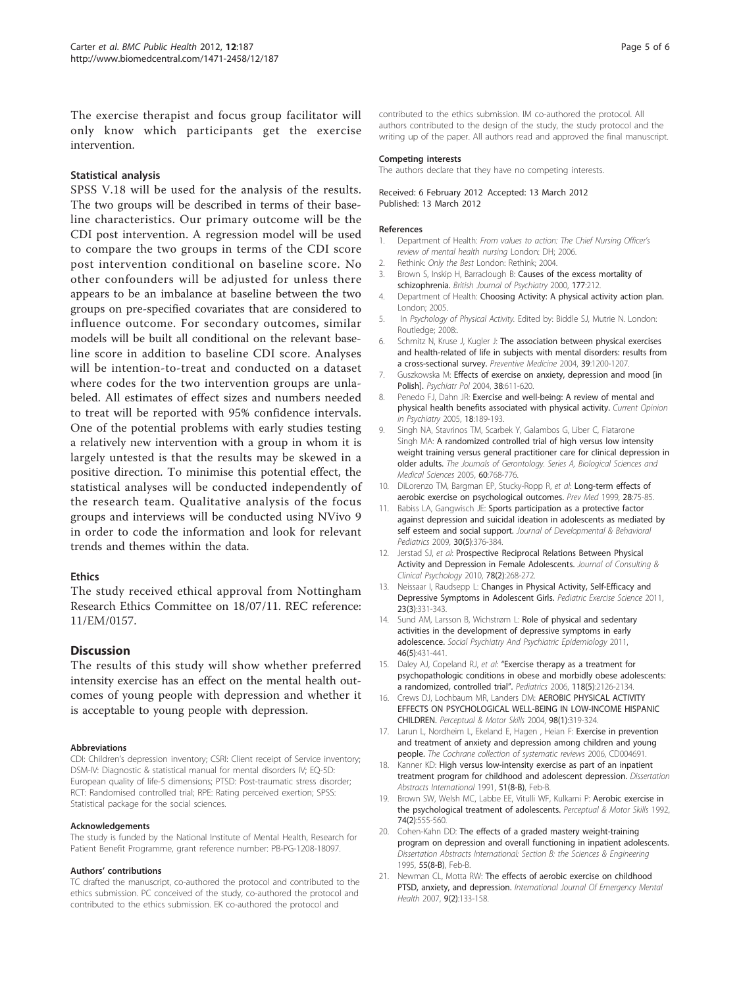<span id="page-4-0"></span>The exercise therapist and focus group facilitator will only know which participants get the exercise intervention.

#### Statistical analysis

SPSS V.18 will be used for the analysis of the results. The two groups will be described in terms of their baseline characteristics. Our primary outcome will be the CDI post intervention. A regression model will be used to compare the two groups in terms of the CDI score post intervention conditional on baseline score. No other confounders will be adjusted for unless there appears to be an imbalance at baseline between the two groups on pre-specified covariates that are considered to influence outcome. For secondary outcomes, similar models will be built all conditional on the relevant baseline score in addition to baseline CDI score. Analyses will be intention-to-treat and conducted on a dataset where codes for the two intervention groups are unlabeled. All estimates of effect sizes and numbers needed to treat will be reported with 95% confidence intervals. One of the potential problems with early studies testing a relatively new intervention with a group in whom it is largely untested is that the results may be skewed in a positive direction. To minimise this potential effect, the statistical analyses will be conducted independently of the research team. Qualitative analysis of the focus groups and interviews will be conducted using NVivo 9 in order to code the information and look for relevant trends and themes within the data.

#### **Ethics**

The study received ethical approval from Nottingham Research Ethics Committee on 18/07/11. REC reference: 11/EM/0157.

#### **Discussion**

The results of this study will show whether preferred intensity exercise has an effect on the mental health outcomes of young people with depression and whether it is acceptable to young people with depression.

#### Abbreviations

CDI: Children's depression inventory; CSRI: Client receipt of Service inventory; DSM-IV: Diagnostic & statistical manual for mental disorders IV; EQ-5D: European quality of life-5 dimensions; PTSD: Post-traumatic stress disorder; RCT: Randomised controlled trial; RPE: Rating perceived exertion; SPSS: Statistical package for the social sciences.

#### Acknowledgements

The study is funded by the National Institute of Mental Health, Research for Patient Benefit Programme, grant reference number: PB-PG-1208-18097.

#### Authors' contributions

TC drafted the manuscript, co-authored the protocol and contributed to the ethics submission. PC conceived of the study, co-authored the protocol and contributed to the ethics submission. EK co-authored the protocol and

contributed to the ethics submission. IM co-authored the protocol. All authors contributed to the design of the study, the study protocol and the writing up of the paper. All authors read and approved the final manuscript.

#### Competing interests

The authors declare that they have no competing interests.

#### Received: 6 February 2012 Accepted: 13 March 2012 Published: 13 March 2012

#### References

- 1. Department of Health: From values to action: The Chief Nursing Officer's review of mental health nursing London: DH; 2006.
- 2. Rethink: Only the Best London: Rethink; 2004.
- 3. Brown S, Inskip H, Barraclough B: [Causes of the excess mortality of](http://www.ncbi.nlm.nih.gov/pubmed/11040880?dopt=Abstract) [schizophrenia.](http://www.ncbi.nlm.nih.gov/pubmed/11040880?dopt=Abstract) British Journal of Psychiatry 2000, 177:212.
- 4. Department of Health: Choosing Activity: A physical activity action plan. London; 2005.
- 5. In Psychology of Physical Activity. Edited by: Biddle SJ, Mutrie N. London: Routledge: 2008:
- 6. Schmitz N, Kruse J, Kugler J: [The association between physical exercises](http://www.ncbi.nlm.nih.gov/pubmed/15539056?dopt=Abstract) [and health-related of life in subjects with mental disorders: results from](http://www.ncbi.nlm.nih.gov/pubmed/15539056?dopt=Abstract) [a cross-sectional survey.](http://www.ncbi.nlm.nih.gov/pubmed/15539056?dopt=Abstract) Preventive Medicine 2004, 39:1200-1207.
- 7. Guszkowska M: [Effects of exercise on anxiety, depression and mood \[in](http://www.ncbi.nlm.nih.gov/pubmed/15518309?dopt=Abstract) [Polish\].](http://www.ncbi.nlm.nih.gov/pubmed/15518309?dopt=Abstract) Psychiatr Pol 2004, 38:611-620.
- 8. Penedo FJ, Dahn JR: [Exercise and well-being: A review of mental and](http://www.ncbi.nlm.nih.gov/pubmed/16639173?dopt=Abstract) [physical health benefits associated with physical activity.](http://www.ncbi.nlm.nih.gov/pubmed/16639173?dopt=Abstract) Current Opinion in Psychiatry 2005, 18:189-193.
- 9. Singh NA, Stavrinos TM, Scarbek Y, Galambos G, Liber C, Fiatarone Singh MA: [A randomized controlled trial of high versus low intensity](http://www.ncbi.nlm.nih.gov/pubmed/15983181?dopt=Abstract) [weight training versus general practitioner care for clinical depression in](http://www.ncbi.nlm.nih.gov/pubmed/15983181?dopt=Abstract) [older adults.](http://www.ncbi.nlm.nih.gov/pubmed/15983181?dopt=Abstract) The Journals of Gerontology. Series A, Biological Sciences and Medical Sciences 2005, 60:768-776.
- 10. DiLorenzo TM, Bargman EP, Stucky-Ropp R, et al: [Long-term effects of](http://www.ncbi.nlm.nih.gov/pubmed/9973590?dopt=Abstract) [aerobic exercise on psychological outcomes.](http://www.ncbi.nlm.nih.gov/pubmed/9973590?dopt=Abstract) Prev Med 1999, 28:75-85.
- 11. Babiss LA, Gangwisch JE: [Sports participation as a protective factor](http://www.ncbi.nlm.nih.gov/pubmed/22439114?dopt=Abstract) [against depression and suicidal ideation in adolescents as mediated by](http://www.ncbi.nlm.nih.gov/pubmed/22439114?dopt=Abstract) [self esteem and social support.](http://www.ncbi.nlm.nih.gov/pubmed/22439114?dopt=Abstract) Journal of Developmental & Behavioral Pediatrics 2009, 30(5):376-384.
- 12. Jerstad SJ, et al: [Prospective Reciprocal Relations Between Physical](http://www.ncbi.nlm.nih.gov/pubmed/22439079?dopt=Abstract) [Activity and Depression in Female Adolescents.](http://www.ncbi.nlm.nih.gov/pubmed/22439079?dopt=Abstract) Journal of Consulting & Clinical Psychology 2010, 78(2):268-272.
- 13. Neissaar I, Raudsepp L: [Changes in Physical Activity, Self-Efficacy and](http://www.ncbi.nlm.nih.gov/pubmed/21881154?dopt=Abstract) [Depressive Symptoms in Adolescent Girls.](http://www.ncbi.nlm.nih.gov/pubmed/21881154?dopt=Abstract) Pediatric Exercise Science 2011, 23(3):331-343.
- 14. Sund AM, Larsson B, Wichstrøm L: [Role of physical and sedentary](http://www.ncbi.nlm.nih.gov/pubmed/20358175?dopt=Abstract) [activities in the development of depressive symptoms in early](http://www.ncbi.nlm.nih.gov/pubmed/20358175?dopt=Abstract) [adolescence.](http://www.ncbi.nlm.nih.gov/pubmed/20358175?dopt=Abstract) Social Psychiatry And Psychiatric Epidemiology 2011, 46(5):431-441.
- 15. Daley AJ, Copeland RJ, et al: "[Exercise therapy as a treatment for](http://www.ncbi.nlm.nih.gov/pubmed/17079587?dopt=Abstract) psychopathologic [conditions in obese and morbidly obese adolescents:](http://www.ncbi.nlm.nih.gov/pubmed/17079587?dopt=Abstract) [a randomized, controlled trial](http://www.ncbi.nlm.nih.gov/pubmed/17079587?dopt=Abstract)". Pediatrics 2006, 118(5):2126-2134.
- 16. Crews DJ, Lochbaum MR, Landers DM: [AEROBIC PHYSICAL ACTIVITY](http://www.ncbi.nlm.nih.gov/pubmed/22438875?dopt=Abstract) [EFFECTS ON PSYCHOLOGICAL WELL-BEING IN LOW-INCOME HISPANIC](http://www.ncbi.nlm.nih.gov/pubmed/22438875?dopt=Abstract) [CHILDREN.](http://www.ncbi.nlm.nih.gov/pubmed/22438875?dopt=Abstract) Perceptual & Motor Skills 2004, 98(1):319-324.
- 17. Larun L, Nordheim L, Ekeland E, Hagen, Heian F: Exercise in prevention and treatment of anxiety and depression among children and young people. The Cochrane collection of systematic reviews 2006, CD004691.
- 18. Kanner KD: High versus low-intensity exercise as part of an inpatient treatment program for childhood and adolescent depression. Dissertation Abstracts International 1991, 51(8-B), Feb-B.
- 19. Brown SW, Welsh MC, Labbe EE, Vitulli WF, Kulkarni P: [Aerobic exercise in](http://www.ncbi.nlm.nih.gov/pubmed/22438875?dopt=Abstract) [the psychological treatment of adolescents.](http://www.ncbi.nlm.nih.gov/pubmed/22438875?dopt=Abstract) Perceptual & Motor Skills 1992, 74(2):555-560.
- 20. Cohen-Kahn DD: The effects of a graded mastery weight-training program on depression and overall functioning in inpatient adolescents. Dissertation Abstracts International: Section B: the Sciences & Engineering 1995, 55(8-B), Feb-B.
- 21. Newman CL, Motta RW: [The effects of aerobic exercise on childhood](http://www.ncbi.nlm.nih.gov/pubmed/17725082?dopt=Abstract) [PTSD, anxiety, and depression.](http://www.ncbi.nlm.nih.gov/pubmed/17725082?dopt=Abstract) International Journal Of Emergency Mental Health 2007, 9(2):133-158.